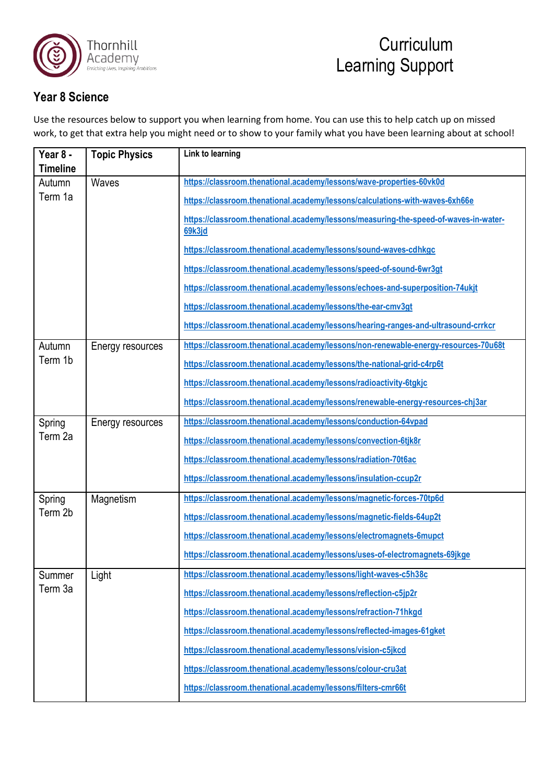

#### **Year 8 Science**

Use the resources below to support you when learning from home. You can use this to help catch up on missed work, to get that extra help you might need or to show to your family what you have been learning about at school!

| Year 8 -<br>Timeline | <b>Topic Physics</b> | Link to learning                                                                               |
|----------------------|----------------------|------------------------------------------------------------------------------------------------|
| Autumn               | Waves                | https://classroom.thenational.academy/lessons/wave-properties-60vk0d                           |
| Term 1a              |                      | https://classroom.thenational.academy/lessons/calculations-with-waves-6xh66e                   |
|                      |                      | https://classroom.thenational.academy/lessons/measuring-the-speed-of-waves-in-water-<br>69k3jd |
|                      |                      | https://classroom.thenational.academy/lessons/sound-waves-cdhkgc                               |
|                      |                      | https://classroom.thenational.academy/lessons/speed-of-sound-6wr3gt                            |
|                      |                      | https://classroom.thenational.academy/lessons/echoes-and-superposition-74ukjt                  |
|                      |                      | https://classroom.thenational.academy/lessons/the-ear-cmv3gt                                   |
|                      |                      | https://classroom.thenational.academy/lessons/hearing-ranges-and-ultrasound-crrkcr             |
| Autumn               | Energy resources     | https://classroom.thenational.academy/lessons/non-renewable-energy-resources-70u68t            |
| Term 1b              |                      | https://classroom.thenational.academy/lessons/the-national-grid-c4rp6t                         |
|                      |                      | https://classroom.thenational.academy/lessons/radioactivity-6tgkjc                             |
|                      |                      | https://classroom.thenational.academy/lessons/renewable-energy-resources-chj3ar                |
| Spring               | Energy resources     | https://classroom.thenational.academy/lessons/conduction-64vpad                                |
| Term 2a              |                      | https://classroom.thenational.academy/lessons/convection-6tjk8r                                |
|                      |                      | https://classroom.thenational.academy/lessons/radiation-70t6ac                                 |
|                      |                      | https://classroom.thenational.academy/lessons/insulation-ccup2r                                |
| Spring               | Magnetism            | https://classroom.thenational.academy/lessons/magnetic-forces-70tp6d                           |
| Term 2b              |                      | https://classroom.thenational.academy/lessons/magnetic-fields-64up2t                           |
|                      |                      | https://classroom.thenational.academy/lessons/electromagnets-6mupct                            |
|                      |                      | https://classroom.thenational.academy/lessons/uses-of-electromagnets-69jkge                    |
| Summer               | Light                | https://classroom.thenational.academy/lessons/light-waves-c5h38c                               |
| Term 3a              |                      | https://classroom.thenational.academy/lessons/reflection-c5jp2r                                |
|                      |                      | https://classroom.thenational.academy/lessons/refraction-71hkgd                                |
|                      |                      | https://classroom.thenational.academy/lessons/reflected-images-61gket                          |
|                      |                      | https://classroom.thenational.academy/lessons/vision-c5jkcd                                    |
|                      |                      | https://classroom.thenational.academy/lessons/colour-cru3at                                    |
|                      |                      | https://classroom.thenational.academy/lessons/filters-cmr66t                                   |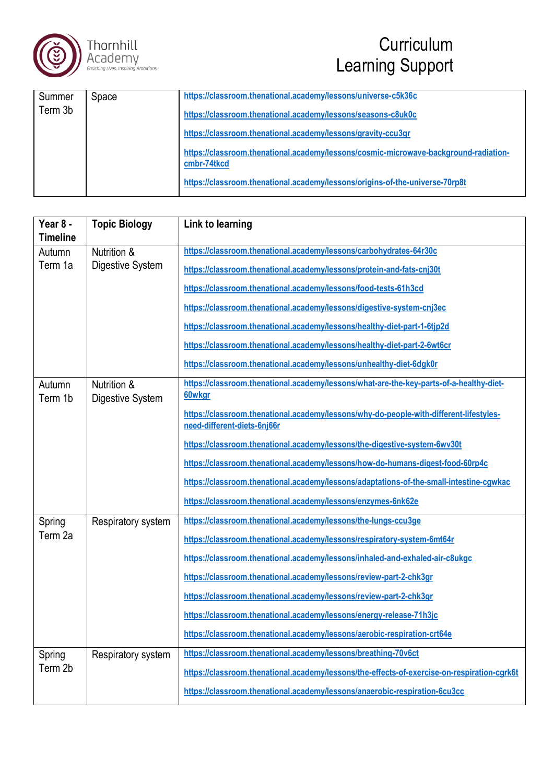



| Summer  | Space | https://classroom.thenational.academy/lessons/universe-c5k36c                                       |
|---------|-------|-----------------------------------------------------------------------------------------------------|
| Term 3b |       | https://classroom.thenational.academy/lessons/seasons-c8uk0c                                        |
|         |       | https://classroom.thenational.academy/lessons/gravity-ccu3gr                                        |
|         |       | https://classroom.thenational.academy/lessons/cosmic-microwave-background-radiation-<br>cmbr-74tkcd |
|         |       | https://classroom.thenational.academy/lessons/origins-of-the-universe-70rp8t                        |

| Year 8 -        | <b>Topic Biology</b> | Link to learning                                                                            |
|-----------------|----------------------|---------------------------------------------------------------------------------------------|
| <b>Timeline</b> |                      |                                                                                             |
| Autumn          | Nutrition &          | https://classroom.thenational.academy/lessons/carbohydrates-64r30c                          |
| Term 1a         | Digestive System     | https://classroom.thenational.academy/lessons/protein-and-fats-cnj30t                       |
|                 |                      | https://classroom.thenational.academy/lessons/food-tests-61h3cd                             |
|                 |                      | https://classroom.thenational.academy/lessons/digestive-system-cnj3ec                       |
|                 |                      | https://classroom.thenational.academy/lessons/healthy-diet-part-1-6tjp2d                    |
|                 |                      | https://classroom.thenational.academy/lessons/healthy-diet-part-2-6wt6cr                    |
|                 |                      | https://classroom.thenational.academy/lessons/unhealthy-diet-6dgk0r                         |
| Autumn          | Nutrition &          | https://classroom.thenational.academy/lessons/what-are-the-key-parts-of-a-healthy-diet-     |
| Term 1b         | Digestive System     | 60wkgr                                                                                      |
|                 |                      | https://classroom.thenational.academy/lessons/why-do-people-with-different-lifestyles-      |
|                 |                      | need-different-diets-6nj66r                                                                 |
|                 |                      | https://classroom.thenational.academy/lessons/the-digestive-system-6wv30t                   |
|                 |                      | https://classroom.thenational.academy/lessons/how-do-humans-digest-food-60rp4c              |
|                 |                      | https://classroom.thenational.academy/lessons/adaptations-of-the-small-intestine-cgwkac     |
|                 |                      | https://classroom.thenational.academy/lessons/enzymes-6nk62e                                |
| Spring          | Respiratory system   | https://classroom.thenational.academy/lessons/the-lungs-ccu3ge                              |
| Term 2a         |                      | https://classroom.thenational.academy/lessons/respiratory-system-6mt64r                     |
|                 |                      | https://classroom.thenational.academy/lessons/inhaled-and-exhaled-air-c8ukgc                |
|                 |                      | https://classroom.thenational.academy/lessons/review-part-2-chk3gr                          |
|                 |                      | https://classroom.thenational.academy/lessons/review-part-2-chk3gr                          |
|                 |                      | https://classroom.thenational.academy/lessons/energy-release-71h3jc                         |
|                 |                      | https://classroom.thenational.academy/lessons/aerobic-respiration-crt64e                    |
| Spring          | Respiratory system   | https://classroom.thenational.academy/lessons/breathing-70v6ct                              |
| Term 2b         |                      | https://classroom.thenational.academy/lessons/the-effects-of-exercise-on-respiration-cgrk6t |
|                 |                      | https://classroom.thenational.academy/lessons/anaerobic-respiration-6cu3cc                  |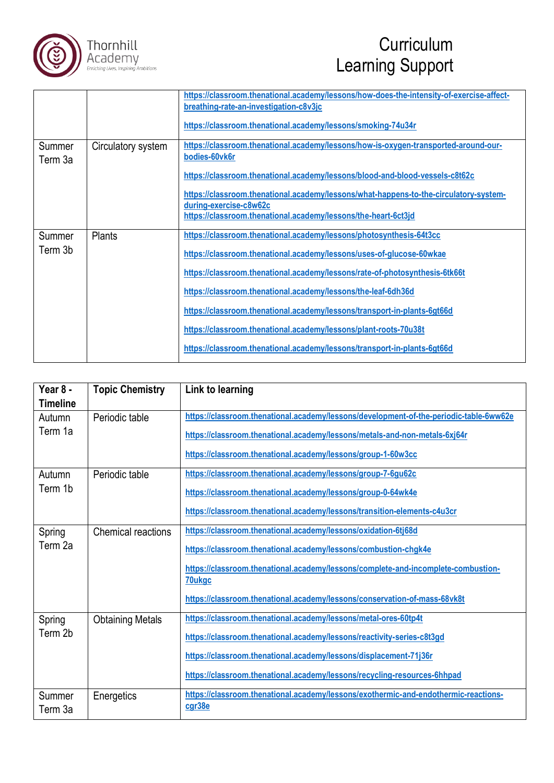

|                   |                    | https://classroom.thenational.academy/lessons/how-does-the-intensity-of-exercise-affect-<br>breathing-rate-an-investigation-c8v3jc |
|-------------------|--------------------|------------------------------------------------------------------------------------------------------------------------------------|
|                   |                    | https://classroom.thenational.academy/lessons/smoking-74u34r                                                                       |
| Summer<br>Term 3a | Circulatory system | https://classroom.thenational.academy/lessons/how-is-oxygen-transported-around-our-<br>bodies-60vk6r                               |
|                   |                    | https://classroom.thenational.academy/lessons/blood-and-blood-vessels-c8t62c                                                       |
|                   |                    | https://classroom.thenational.academy/lessons/what-happens-to-the-circulatory-system-<br>during-exercise-c8w62c                    |
|                   |                    | https://classroom.thenational.academy/lessons/the-heart-6ct3jd                                                                     |
| Summer            | <b>Plants</b>      | https://classroom.thenational.academy/lessons/photosynthesis-64t3cc                                                                |
| Term 3b           |                    | https://classroom.thenational.academy/lessons/uses-of-glucose-60wkae                                                               |
|                   |                    | https://classroom.thenational.academy/lessons/rate-of-photosynthesis-6tk66t                                                        |
|                   |                    | https://classroom.thenational.academy/lessons/the-leaf-6dh36d                                                                      |
|                   |                    | https://classroom.thenational.academy/lessons/transport-in-plants-6gt66d                                                           |
|                   |                    | https://classroom.thenational.academy/lessons/plant-roots-70u38t                                                                   |
|                   |                    | https://classroom.thenational.academy/lessons/transport-in-plants-6gt66d                                                           |

| Year 8 -<br><b>Timeline</b> | <b>Topic Chemistry</b>    | Link to learning                                                                              |
|-----------------------------|---------------------------|-----------------------------------------------------------------------------------------------|
| Autumn                      | Periodic table            | https://classroom.thenational.academy/lessons/development-of-the-periodic-table-6ww62e        |
| Term 1a                     |                           | https://classroom.thenational.academy/lessons/metals-and-non-metals-6xj64r                    |
|                             |                           | https://classroom.thenational.academy/lessons/group-1-60w3cc                                  |
| Autumn                      | Periodic table            | https://classroom.thenational.academy/lessons/group-7-6gu62c                                  |
| Term 1b                     |                           | https://classroom.thenational.academy/lessons/group-0-64wk4e                                  |
|                             |                           | https://classroom.thenational.academy/lessons/transition-elements-c4u3cr                      |
| Spring<br>Term 2a           | <b>Chemical reactions</b> | https://classroom.thenational.academy/lessons/oxidation-6tj68d                                |
|                             |                           | https://classroom.thenational.academy/lessons/combustion-chgk4e                               |
|                             |                           | https://classroom.thenational.academy/lessons/complete-and-incomplete-combustion-             |
|                             |                           | 70ukgc                                                                                        |
|                             |                           | https://classroom.thenational.academy/lessons/conservation-of-mass-68vk8t                     |
| Spring<br>Term 2b           | <b>Obtaining Metals</b>   | https://classroom.thenational.academy/lessons/metal-ores-60tp4t                               |
|                             |                           | https://classroom.thenational.academy/lessons/reactivity-series-c8t3gd                        |
|                             |                           | https://classroom.thenational.academy/lessons/displacement-71j36r                             |
|                             |                           | https://classroom.thenational.academy/lessons/recycling-resources-6hhpad                      |
| Summer<br>Term 3a           | Energetics                | https://classroom.thenational.academy/lessons/exothermic-and-endothermic-reactions-<br>cgr38e |
|                             |                           |                                                                                               |